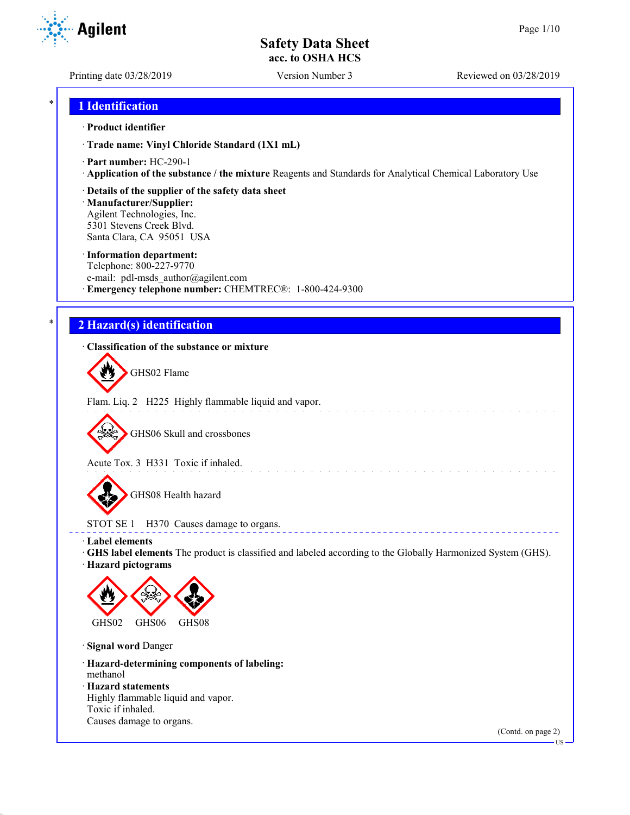Printing date 03/28/2019 Version Number 3 Reviewed on 03/28/2019

## \* **1 Identification**

### · **Product identifier**

· **Trade name: Vinyl Chloride Standard (1X1 mL)**

- · **Part number:** HC-290-1
- · **Application of the substance / the mixture** Reagents and Standards for Analytical Chemical Laboratory Use
- · **Details of the supplier of the safety data sheet**

· **Manufacturer/Supplier:** Agilent Technologies, Inc. 5301 Stevens Creek Blvd. Santa Clara, CA 95051 USA

#### · **Information department:**

Telephone: 800-227-9770 e-mail: pdl-msds author@agilent.com · **Emergency telephone number:** CHEMTREC®: 1-800-424-9300

## \* **2 Hazard(s) identification**

## · **Classification of the substance or mixture**

GHS02 Flame

Flam. Liq. 2 H225 Highly flammable liquid and vapor.

GHS06 Skull and crossbones

Acute Tox. 3 H331 Toxic if inhaled.

GHS08 Health hazard

STOT SE 1 H370 Causes damage to organs.

· **Label elements**

· **GHS label elements** The product is classified and labeled according to the Globally Harmonized System (GHS).

and the state of the state of the

**ELECT** 

· **Hazard pictograms**



· **Signal word** Danger

· **Hazard-determining components of labeling:** methanol

· **Hazard statements**

Highly flammable liquid and vapor. Toxic if inhaled. Causes damage to organs.

(Contd. on page 2)

US

**Agilent**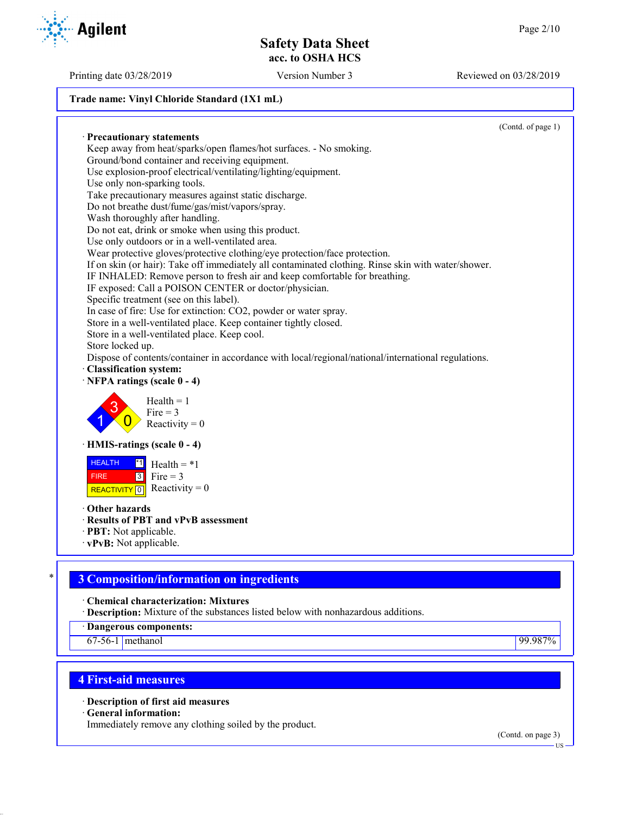Printing date 03/28/2019 Version Number 3 Reviewed on 03/28/2019

## **Trade name: Vinyl Chloride Standard (1X1 mL)**

(Contd. of page 1) · **Precautionary statements** Keep away from heat/sparks/open flames/hot surfaces. - No smoking. Ground/bond container and receiving equipment. Use explosion-proof electrical/ventilating/lighting/equipment. Use only non-sparking tools. Take precautionary measures against static discharge. Do not breathe dust/fume/gas/mist/vapors/spray. Wash thoroughly after handling. Do not eat, drink or smoke when using this product. Use only outdoors or in a well-ventilated area. Wear protective gloves/protective clothing/eye protection/face protection. If on skin (or hair): Take off immediately all contaminated clothing. Rinse skin with water/shower. IF INHALED: Remove person to fresh air and keep comfortable for breathing. IF exposed: Call a POISON CENTER or doctor/physician. Specific treatment (see on this label). In case of fire: Use for extinction: CO2, powder or water spray. Store in a well-ventilated place. Keep container tightly closed. Store in a well-ventilated place. Keep cool. Store locked up. Dispose of contents/container in accordance with local/regional/national/international regulations. · **Classification system:** · **NFPA ratings (scale 0 - 4)** 1 3  $\overline{0}$  $Health = 1$  $Fire = 3$ Reactivity  $= 0$ · **HMIS-ratings (scale 0 - 4) HEALTH**  FIRE REACTIVITY  $\boxed{0}$  Reactivity = 0  $\overline{1}$  Health = \*1  $3$  Fire = 3 · **Other hazards** · **Results of PBT and vPvB assessment** · **PBT:** Not applicable.

· **vPvB:** Not applicable.

# \* **3 Composition/information on ingredients**

· **Chemical characterization: Mixtures**

· **Description:** Mixture of the substances listed below with nonhazardous additions.

· **Dangerous components:**

67-56-1 methanol 99.987%

## **4 First-aid measures**

· **Description of first aid measures**

· **General information:**

Immediately remove any clothing soiled by the product.

(Contd. on page 3)

# **Agilent**

US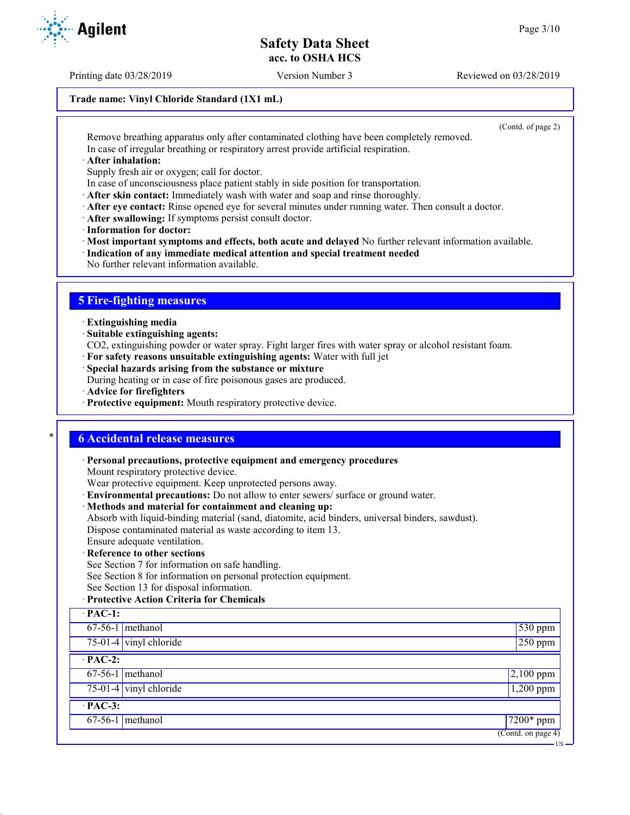Printing date 03/28/2019 Version Number 3 Reviewed on 03/28/2019

## **Trade name: Vinyl Chloride Standard (1X1 mL)**

(Contd. of page 2)

US

Remove breathing apparatus only after contaminated clothing have been completely removed. In case of irregular breathing or respiratory arrest provide artificial respiration.

· **After inhalation:**

Supply fresh air or oxygen; call for doctor.

In case of unconsciousness place patient stably in side position for transportation.

· **After skin contact:** Immediately wash with water and soap and rinse thoroughly.

- · **After eye contact:** Rinse opened eye for several minutes under running water. Then consult a doctor.
- · **After swallowing:** If symptoms persist consult doctor.
- · **Information for doctor:**

· **Most important symptoms and effects, both acute and delayed** No further relevant information available.

· **Indication of any immediate medical attention and special treatment needed**

No further relevant information available.

# **5 Fire-fighting measures**

· **Extinguishing media**

· **Suitable extinguishing agents:**

CO2, extinguishing powder or water spray. Fight larger fires with water spray or alcohol resistant foam.

- · **For safety reasons unsuitable extinguishing agents:** Water with full jet
- · **Special hazards arising from the substance or mixture**

During heating or in case of fire poisonous gases are produced.

- · **Advice for firefighters**
- · **Protective equipment:** Mouth respiratory protective device.

## \* **6 Accidental release measures**

· **Personal precautions, protective equipment and emergency procedures**

Mount respiratory protective device.

Wear protective equipment. Keep unprotected persons away.

- · **Environmental precautions:** Do not allow to enter sewers/ surface or ground water.
- · **Methods and material for containment and cleaning up:**

Absorb with liquid-binding material (sand, diatomite, acid binders, universal binders, sawdust). Dispose contaminated material as waste according to item 13.

Ensure adequate ventilation.

## · **Reference to other sections**

See Section 7 for information on safe handling.

See Section 8 for information on personal protection equipment.

See Section 13 for disposal information.

## · **Protective Action Criteria for Chemicals**

| $\cdot$ PAC-1: |                          |                                        |
|----------------|--------------------------|----------------------------------------|
|                | $67-56-1$ methanol       | $\sqrt{530}$ ppm                       |
|                | $75-01-4$ vinyl chloride | $250$ ppm                              |
| $\cdot$ PAC-2: |                          |                                        |
|                | $67-56-1$ methanol       | $2,100$ ppm                            |
|                | $75-01-4$ vinyl chloride | $1,200$ ppm                            |
| $\cdot$ PAC-3: |                          |                                        |
|                | $67-56-1$ methanol       | $\sqrt{7200*}$ ppm                     |
|                |                          | $\overline{(\text{Contd. on page 4})}$ |

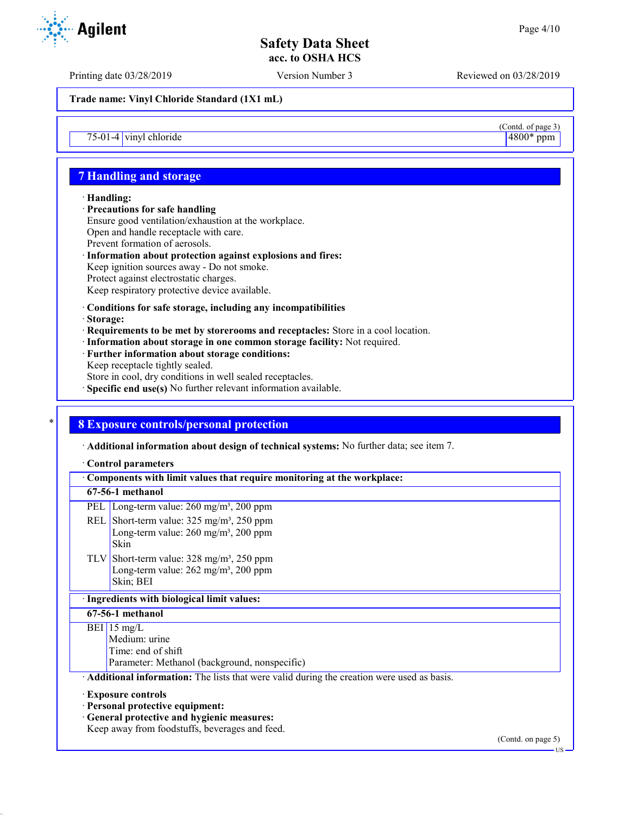Printing date 03/28/2019 Version Number 3 Reviewed on 03/28/2019

**Trade name: Vinyl Chloride Standard (1X1 mL)**

 $75-01-4$  vinyl chloride

# **7 Handling and storage**

## · **Handling:**

· **Precautions for safe handling** Ensure good ventilation/exhaustion at the workplace. Open and handle receptacle with care. Prevent formation of aerosols. · **Information about protection against explosions and fires:**

Keep ignition sources away - Do not smoke. Protect against electrostatic charges. Keep respiratory protective device available.

## · **Conditions for safe storage, including any incompatibilities**

- · **Storage:**
- · **Requirements to be met by storerooms and receptacles:** Store in a cool location.
- · **Information about storage in one common storage facility:** Not required.
- · **Further information about storage conditions:**
- Keep receptacle tightly sealed.
- Store in cool, dry conditions in well sealed receptacles.
- · **Specific end use(s)** No further relevant information available.

# \* **8 Exposure controls/personal protection**

· **Additional information about design of technical systems:** No further data; see item 7.

#### · **Control parameters**

| Components with limit values that require monitoring at the workplace:                                                                                        |                    |
|---------------------------------------------------------------------------------------------------------------------------------------------------------------|--------------------|
| 67-56-1 methanol                                                                                                                                              |                    |
| PEL   Long-term value: $260 \text{ mg/m}^3$ , $200 \text{ ppm}$                                                                                               |                    |
| REL Short-term value: $325 \text{ mg/m}^3$ , $250 \text{ ppm}$<br>Long-term value: $260 \text{ mg/m}^3$ , $200 \text{ ppm}$<br><b>Skin</b>                    |                    |
| TLV Short-term value: $328 \text{ mg/m}^3$ , $250 \text{ ppm}$<br>Long-term value: $262$ mg/m <sup>3</sup> , $200$ ppm<br>Skin; BEI                           |                    |
| · Ingredients with biological limit values:                                                                                                                   |                    |
| 67-56-1 methanol                                                                                                                                              |                    |
| BEI 15 mg/L<br>Medium: urine<br>Time: end of shift<br>Parameter: Methanol (background, nonspecific)                                                           |                    |
| Additional information: The lists that were valid during the creation were used as basis.                                                                     |                    |
| <b>Exposure controls</b><br>· Personal protective equipment:<br>· General protective and hygienic measures:<br>Keep away from foodstuffs, beverages and feed. | (Contd. on page 5) |

 $\frac{(\text{Cond. of page 3})}{4800* \text{ ppm}}$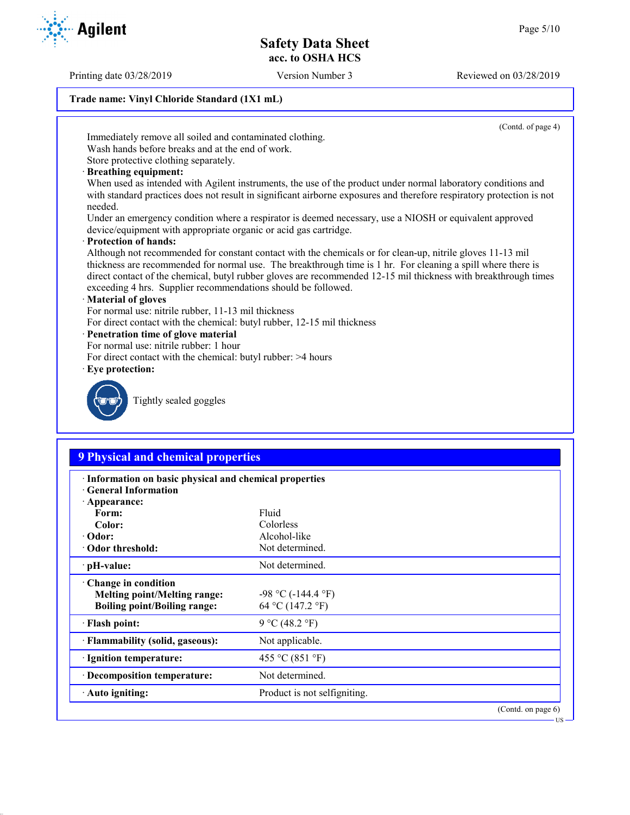Printing date 03/28/2019 Version Number 3 Reviewed on 03/28/2019

## **Trade name: Vinyl Chloride Standard (1X1 mL)**

(Contd. of page 4)

Immediately remove all soiled and contaminated clothing.

Wash hands before breaks and at the end of work. Store protective clothing separately.

- 
- · **Breathing equipment:**

When used as intended with Agilent instruments, the use of the product under normal laboratory conditions and with standard practices does not result in significant airborne exposures and therefore respiratory protection is not needed.

Under an emergency condition where a respirator is deemed necessary, use a NIOSH or equivalent approved device/equipment with appropriate organic or acid gas cartridge.

· **Protection of hands:**

Although not recommended for constant contact with the chemicals or for clean-up, nitrile gloves 11-13 mil thickness are recommended for normal use. The breakthrough time is 1 hr. For cleaning a spill where there is direct contact of the chemical, butyl rubber gloves are recommended 12-15 mil thickness with breakthrough times exceeding 4 hrs. Supplier recommendations should be followed.

## · **Material of gloves**

For normal use: nitrile rubber, 11-13 mil thickness

- For direct contact with the chemical: butyl rubber, 12-15 mil thickness
- · **Penetration time of glove material**
- For normal use: nitrile rubber: 1 hour
- For direct contact with the chemical: butyl rubber: >4 hours
- · **Eye protection:**



Tightly sealed goggles

# **9 Physical and chemical properties**

| · Information on basic physical and chemical properties<br><b>General Information</b>             |                                             |                       |
|---------------------------------------------------------------------------------------------------|---------------------------------------------|-----------------------|
| $\cdot$ Appearance:<br>Form:                                                                      | Fluid                                       |                       |
| Color:                                                                                            | Colorless                                   |                       |
| $\cdot$ Odor:                                                                                     | Alcohol-like                                |                       |
| Odor threshold:                                                                                   | Not determined.                             |                       |
| · pH-value:                                                                                       | Not determined.                             |                       |
| Change in condition<br><b>Melting point/Melting range:</b><br><b>Boiling point/Boiling range:</b> | $-98$ °C ( $-144.4$ °F)<br>64 °C (147.2 °F) |                       |
| · Flash point:                                                                                    | 9 °C (48.2 °F)                              |                       |
| · Flammability (solid, gaseous):                                                                  | Not applicable.                             |                       |
| · Ignition temperature:                                                                           | 455 °C (851 °F)                             |                       |
| · Decomposition temperature:                                                                      | Not determined.                             |                       |
| $\cdot$ Auto igniting:                                                                            | Product is not selfigniting.                |                       |
|                                                                                                   |                                             | (Contd. on page $6$ ) |

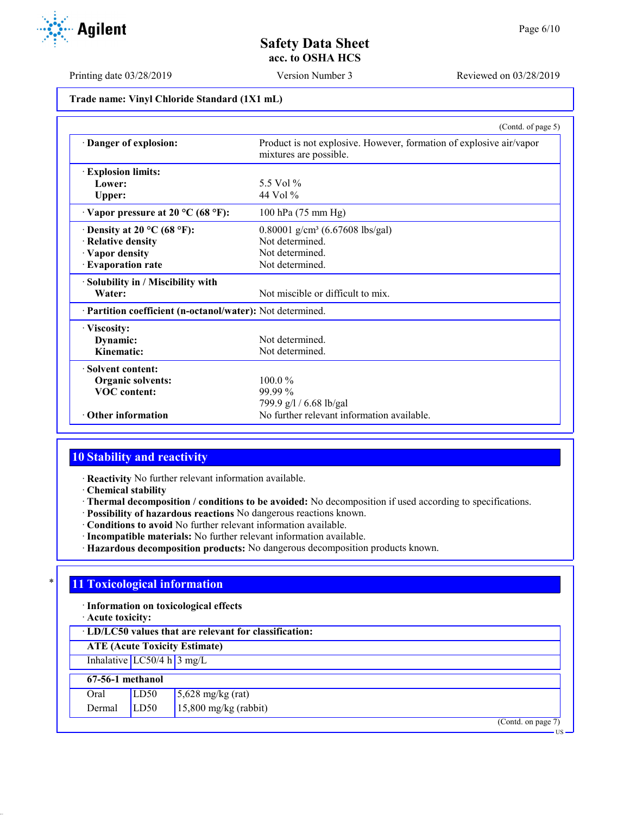Printing date 03/28/2019 Version Number 3 Reviewed on 03/28/2019

| Trade name: Vinyl Chloride Standard (1X1 mL) |  |  |  |  |  |
|----------------------------------------------|--|--|--|--|--|
|----------------------------------------------|--|--|--|--|--|

|                                                            | (Contd. of page 5)                                                                            |
|------------------------------------------------------------|-----------------------------------------------------------------------------------------------|
| Danger of explosion:                                       | Product is not explosive. However, formation of explosive air/vapor<br>mixtures are possible. |
| <b>Explosion limits:</b>                                   |                                                                                               |
| Lower:                                                     | 5.5 Vol %                                                                                     |
| <b>Upper:</b>                                              | 44 Vol $\%$                                                                                   |
| $\cdot$ Vapor pressure at 20 °C (68 °F):                   | 100 hPa (75 mm Hg)                                                                            |
| $\cdot$ Density at 20 °C (68 °F):                          | 0.80001 g/cm <sup>3</sup> (6.67608 lbs/gal)                                                   |
| · Relative density                                         | Not determined.                                                                               |
| · Vapor density                                            | Not determined.                                                                               |
| · Evaporation rate                                         | Not determined.                                                                               |
| · Solubility in / Miscibility with                         |                                                                                               |
| Water:                                                     | Not miscible or difficult to mix.                                                             |
| · Partition coefficient (n-octanol/water): Not determined. |                                                                                               |
| · Viscosity:                                               |                                                                                               |
| Dynamic:                                                   | Not determined.                                                                               |
| Kinematic:                                                 | Not determined.                                                                               |
| $\cdot$ Solvent content:                                   |                                                                                               |
| <b>Organic solvents:</b>                                   | $100.0\%$                                                                                     |
| <b>VOC</b> content:                                        | $99.99\%$                                                                                     |
|                                                            | 799.9 g/l / 6.68 lb/gal                                                                       |
| $\cdot$ Other information                                  | No further relevant information available.                                                    |

# **10 Stability and reactivity**

· **Reactivity** No further relevant information available.

· **Chemical stability**

- · **Thermal decomposition / conditions to be avoided:** No decomposition if used according to specifications.
- · **Possibility of hazardous reactions** No dangerous reactions known.
- · **Conditions to avoid** No further relevant information available.
- · **Incompatible materials:** No further relevant information available.
- · **Hazardous decomposition products:** No dangerous decomposition products known.

# **11 Toxicological information**

· **Information on toxicological effects**

· **Acute toxicity:**

| · LD/LC50 values that are relevant for classification: |  |
|--------------------------------------------------------|--|
|--------------------------------------------------------|--|

**ATE (Acute Toxicity Estimate)**

Inhalative  $LC50/4$  h  $3$  mg/L

#### **67-56-1 methanol** Oral  $LD50$  5,628 mg/kg (rat)

| Viai          | LUU | $\frac{1}{2}$ ,020 ing/kg (iai) |
|---------------|-----|---------------------------------|
| Dermal $LD50$ |     | $15,800$ mg/kg (rabbit)         |

(Contd. on page 7)



US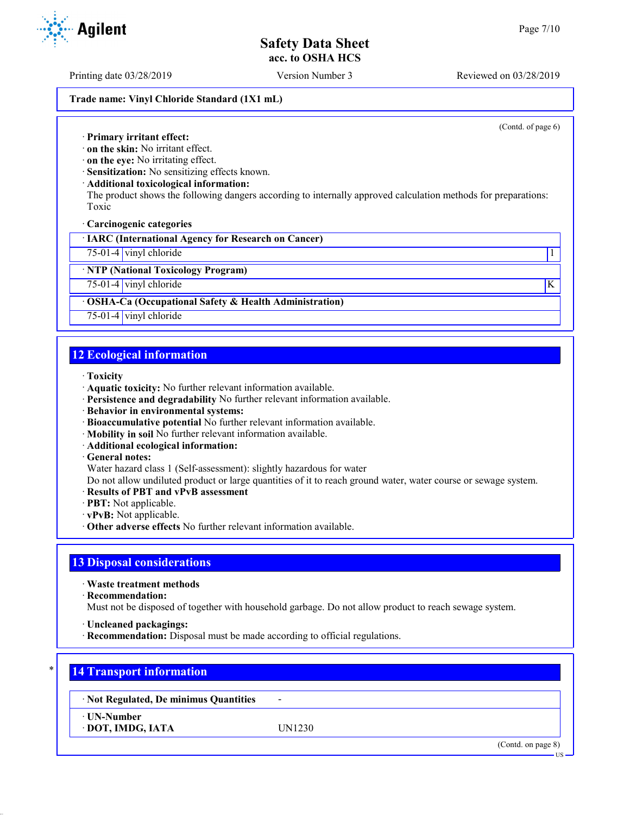Printing date 03/28/2019 Version Number 3 Reviewed on 03/28/2019

## **Trade name: Vinyl Chloride Standard (1X1 mL)**

(Contd. of page 6)

· **Primary irritant effect:**

· **on the skin:** No irritant effect.

· **on the eye:** No irritating effect.

· **Sensitization:** No sensitizing effects known.

· **Additional toxicological information:**

The product shows the following dangers according to internally approved calculation methods for preparations: Toxic

· **Carcinogenic categories**

· **IARC (International Agency for Research on Cancer)**

75-01-4 vinyl chloride 1

· **NTP (National Toxicology Program)**

75-01-4 vinyl chloride K

## · **OSHA-Ca (Occupational Safety & Health Administration)**

75-01-4 vinyl chloride

## **12 Ecological information**

- · **Toxicity**
- · **Aquatic toxicity:** No further relevant information available.
- · **Persistence and degradability** No further relevant information available.
- · **Behavior in environmental systems:**
- · **Bioaccumulative potential** No further relevant information available.
- · **Mobility in soil** No further relevant information available.
- · **Additional ecological information:**
- · **General notes:**

Water hazard class 1 (Self-assessment): slightly hazardous for water

Do not allow undiluted product or large quantities of it to reach ground water, water course or sewage system.

- · **Results of PBT and vPvB assessment**
- · **PBT:** Not applicable.
- · **vPvB:** Not applicable.
- · **Other adverse effects** No further relevant information available.

## **13 Disposal considerations**

· **Waste treatment methods**

· **Recommendation:**

Must not be disposed of together with household garbage. Do not allow product to reach sewage system.

· **Uncleaned packagings:**

· **Recommendation:** Disposal must be made according to official regulations.

# \* **14 Transport information**

· **Not Regulated, De minimus Quantities** -

· **UN-Number**

· **DOT, IMDG, IATA** UN1230

(Contd. on page 8)



US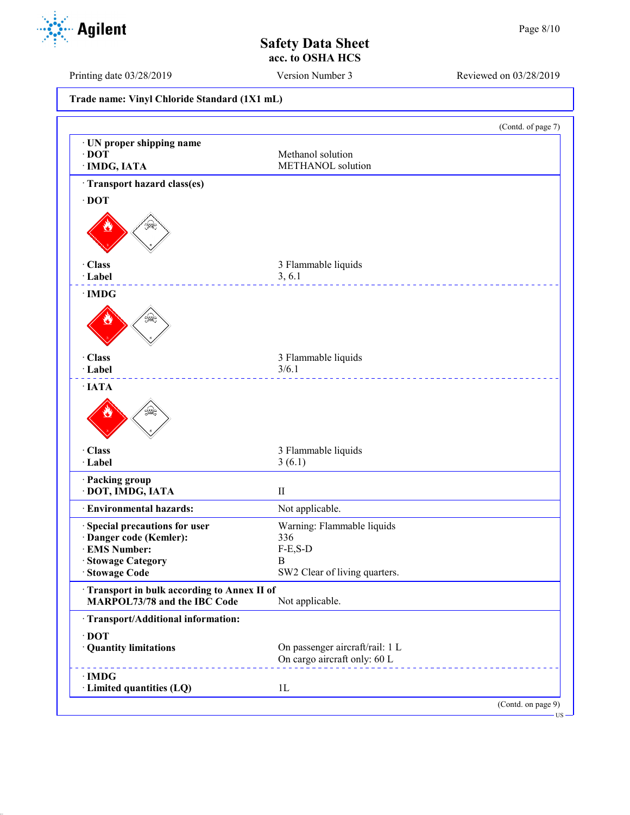(Contd. of page 7)

# **Safety Data Sheet acc. to OSHA HCS**

Printing date 03/28/2019 Version Number 3 Reviewed on 03/28/2019

**Trade name: Vinyl Chloride Standard (1X1 mL)** · **UN proper shipping name** · **Transport hazard class(es)**

| $\cdot$ DOT<br>· IMDG, IATA                                                | Methanol solution<br>METHANOL solution                          |                                                      |
|----------------------------------------------------------------------------|-----------------------------------------------------------------|------------------------------------------------------|
| Transport hazard class(es)                                                 |                                                                 |                                                      |
| $\cdot$ DOT                                                                |                                                                 |                                                      |
| \$R                                                                        |                                                                 |                                                      |
| · Class                                                                    | 3 Flammable liquids                                             |                                                      |
| · Label                                                                    | 3, 6.1                                                          |                                                      |
| $\cdot$ IMDG                                                               |                                                                 |                                                      |
| S£                                                                         |                                                                 |                                                      |
| · Class                                                                    | 3 Flammable liquids                                             |                                                      |
| · Label                                                                    | 3/6.1<br>____________________                                   |                                                      |
| $\cdot$ IATA                                                               |                                                                 |                                                      |
| بلميكة                                                                     |                                                                 |                                                      |
| · Class                                                                    | 3 Flammable liquids                                             |                                                      |
| · Label                                                                    | 3(6.1)                                                          |                                                      |
| · Packing group<br>· DOT, IMDG, IATA                                       | $\mathbf{I}$                                                    |                                                      |
| · Environmental hazards:                                                   | Not applicable.                                                 |                                                      |
| Special precautions for user                                               | Warning: Flammable liquids                                      |                                                      |
| · Danger code (Kemler):                                                    | 336                                                             |                                                      |
| · EMS Number:                                                              | $F-E, S-D$                                                      |                                                      |
| · Stowage Category                                                         | B                                                               |                                                      |
| · Stowage Code                                                             | SW2 Clear of living quarters.                                   |                                                      |
| Transport in bulk according to Annex II of<br>MARPOL73/78 and the IBC Code | Not applicable.                                                 |                                                      |
| · Transport/Additional information:                                        |                                                                 |                                                      |
| $\cdot$ DOT<br>· Quantity limitations                                      | On passenger aircraft/rail: 1 L<br>On cargo aircraft only: 60 L |                                                      |
| $\cdot$ IMDG<br>· Limited quantities (LQ)                                  | 1 <sub>L</sub>                                                  |                                                      |
|                                                                            |                                                                 | (Contd. on page 9)                                   |
|                                                                            |                                                                 | $\overline{\phantom{a}}$ US $\overline{\phantom{a}}$ |

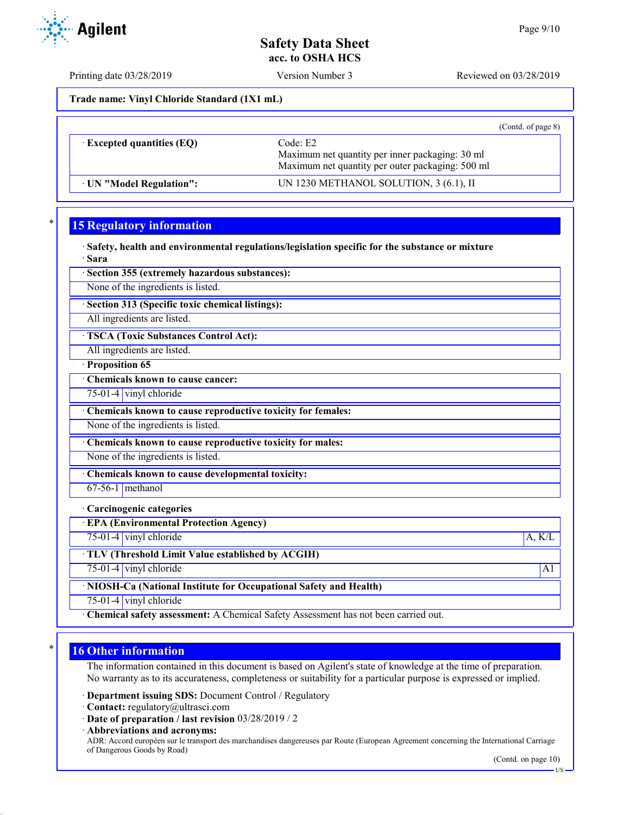Printing date 03/28/2019 Version Number 3 Reviewed on 03/28/2019

**Trade name: Vinyl Chloride Standard (1X1 mL)**

|                                  | (Contd. of page 8)                                                                                              |
|----------------------------------|-----------------------------------------------------------------------------------------------------------------|
| $\cdot$ Excepted quantities (EQ) | Code: E2<br>Maximum net quantity per inner packaging: 30 ml<br>Maximum net quantity per outer packaging: 500 ml |
| UN "Model Regulation":           | UN 1230 METHANOL SOLUTION, 3 (6.1), II                                                                          |

# **15 Regulatory information**

· **Safety, health and environmental regulations/legislation specific for the substance or mixture** · **Sara**

· **Section 355 (extremely hazardous substances):**

None of the ingredients is listed.

· **Section 313 (Specific toxic chemical listings):**

All ingredients are listed.

· **TSCA (Toxic Substances Control Act):**

All ingredients are listed.

· **Proposition 65**

· **Chemicals known to cause cancer:**

75-01-4 vinyl chloride

· **Chemicals known to cause reproductive toxicity for females:**

None of the ingredients is listed.

· **Chemicals known to cause reproductive toxicity for males:**

None of the ingredients is listed.

· **Chemicals known to cause developmental toxicity:**

 $67-56-1$  methanol

· **Carcinogenic categories**

· **EPA (Environmental Protection Agency)**

75-01-4 vinyl chloride A, K/L

· **TLV (Threshold Limit Value established by ACGIH)**

75-01-4 vinyl chloride A1

· **NIOSH-Ca (National Institute for Occupational Safety and Health)**

75-01-4 vinyl chloride

· **Chemical safety assessment:** A Chemical Safety Assessment has not been carried out.

## **16 Other information**

The information contained in this document is based on Agilent's state of knowledge at the time of preparation. No warranty as to its accurateness, completeness or suitability for a particular purpose is expressed or implied.

· **Department issuing SDS:** Document Control / Regulatory

· **Contact:** regulatory@ultrasci.com

· **Date of preparation / last revision** 03/28/2019 / 2

· **Abbreviations and acronyms:** ADR: Accord européen sur le transport des marchandises dangereuses par Route (European Agreement concerning the International Carriage of Dangerous Goods by Road)